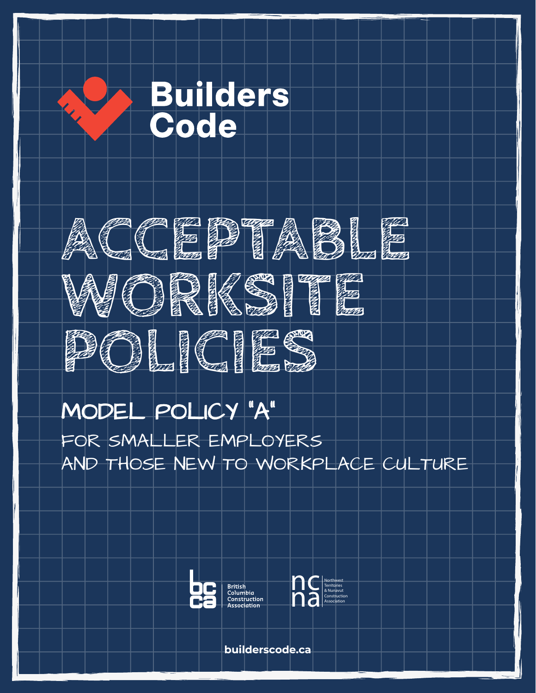



# MODEL POLICY "A" MODEL POLICY "A"

 $R$  SMALLER EMPLOYERS  $\Box$ OR THOSE JUST EMBARKING ON A  $\Gamma$   $\sim$ FOR SMALLER EMPLOYERS AND THOSE NEW TO WORKPLACE CULTURE





**builderscode.ca**

**builderscode.ca**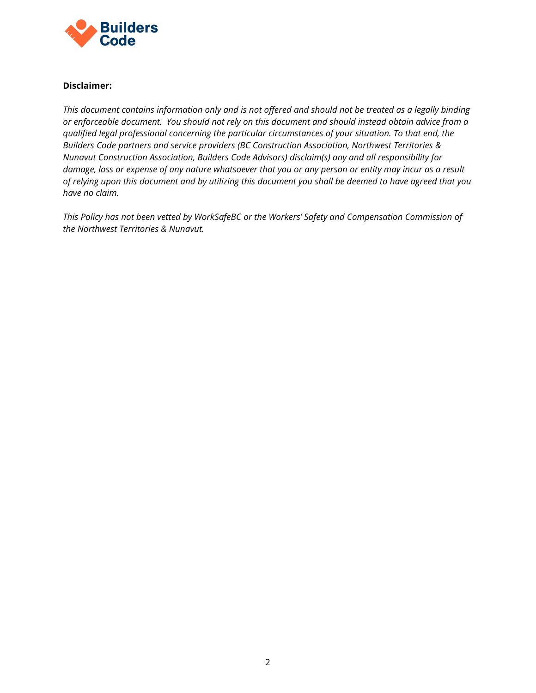

#### **Disclaimer:**

*This document contains information only and is not offered and should not be treated as a legally binding or enforceable document. You should not rely on this document and should instead obtain advice from a qualified legal professional concerning the particular circumstances of your situation. To that end, the Builders Code partners and service providers (BC Construction Association, Northwest Territories & Nunavut Construction Association, Builders Code Advisors) disclaim(s) any and all responsibility for damage, loss or expense of any nature whatsoever that you or any person or entity may incur as a result of relying upon this document and by utilizing this document you shall be deemed to have agreed that you have no claim.*

*This Policy has not been vetted by WorkSafeBC or the Workers' Safety and Compensation Commission of the Northwest Territories & Nunavut.*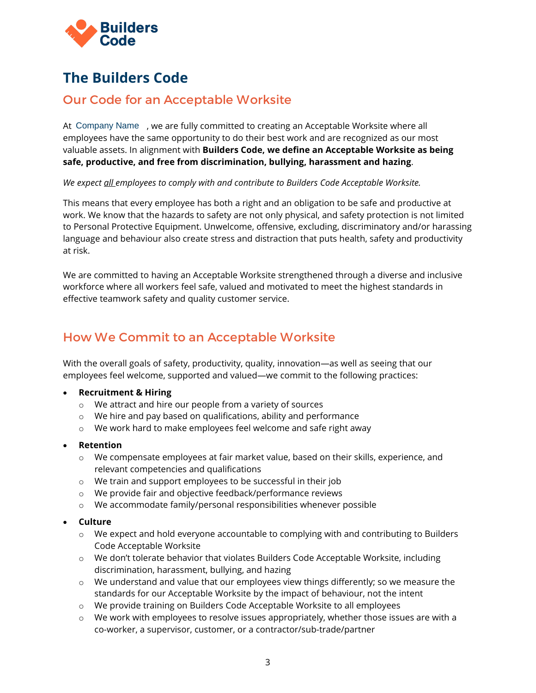

# **The Builders Code**

## Our Code for an Acceptable Worksite

At Company Name, we are fully committed to creating an Acceptable Worksite where all employees have the same opportunity to do their best work and are recognized as our most valuable assets. In alignment with **Builders Code, we define an Acceptable Worksite as being safe, productive, and free from discrimination, bullying, harassment and hazing**.

*We expect all employees to comply with and contribute to Builders Code Acceptable Worksite.*

This means that every employee has both a right and an obligation to be safe and productive at work. We know that the hazards to safety are not only physical, and safety protection is not limited to Personal Protective Equipment. Unwelcome, offensive, excluding, discriminatory and/or harassing language and behaviour also create stress and distraction that puts health, safety and productivity at risk.

We are committed to having an Acceptable Worksite strengthened through a diverse and inclusive workforce where all workers feel safe, valued and motivated to meet the highest standards in effective teamwork safety and quality customer service.

## How We Commit to an Acceptable Worksite

With the overall goals of safety, productivity, quality, innovation—as well as seeing that our employees feel welcome, supported and valued—we commit to the following practices:

#### • **Recruitment & Hiring**

- o We attract and hire our people from a variety of sources
- o We hire and pay based on qualifications, ability and performance
- o We work hard to make employees feel welcome and safe right away

#### • **Retention**

- $\circ$  We compensate employees at fair market value, based on their skills, experience, and relevant competencies and qualifications
- o We train and support employees to be successful in their job
- o We provide fair and objective feedback/performance reviews
- o We accommodate family/personal responsibilities whenever possible

#### • **Culture**

- $\circ$  We expect and hold everyone accountable to complying with and contributing to Builders Code Acceptable Worksite
- o We don't tolerate behavior that violates Builders Code Acceptable Worksite, including discrimination, harassment, bullying, and hazing
- $\circ$  We understand and value that our employees view things differently; so we measure the standards for our Acceptable Worksite by the impact of behaviour, not the intent
- o We provide training on Builders Code Acceptable Worksite to all employees
- $\circ$  We work with employees to resolve issues appropriately, whether those issues are with a co-worker, a supervisor, customer, or a contractor/sub-trade/partner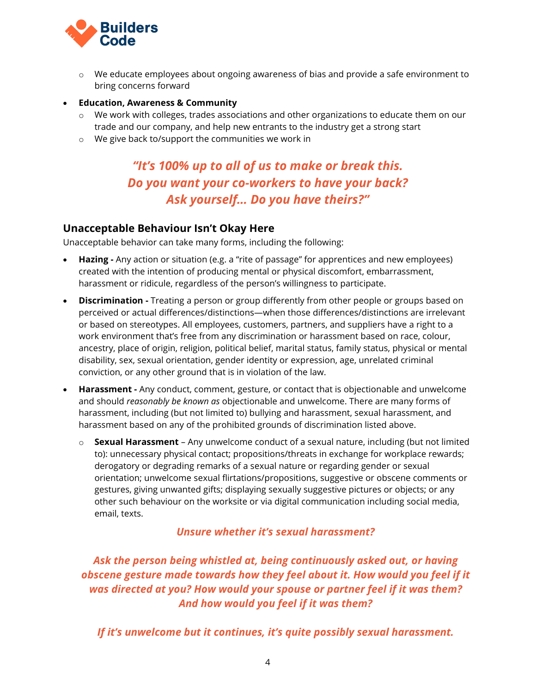

- $\circ$  We educate employees about ongoing awareness of bias and provide a safe environment to bring concerns forward
- **Education, Awareness & Community** 
	- o We work with colleges, trades associations and other organizations to educate them on our trade and our company, and help new entrants to the industry get a strong start
	- o We give back to/support the communities we work in

## *"It's 100% up to all of us to make or break this. Do you want your co-workers to have your back? Ask yourself… Do you have theirs?"*

#### **Unacceptable Behaviour Isn't Okay Here**

Unacceptable behavior can take many forms, including the following:

- **Hazing -** Any action or situation (e.g. a "rite of passage" for apprentices and new employees) created with the intention of producing mental or physical discomfort, embarrassment, harassment or ridicule, regardless of the person's willingness to participate.
- **Discrimination** Treating a person or group differently from other people or groups based on perceived or actual differences/distinctions—when those differences/distinctions are irrelevant or based on stereotypes. All employees, customers, partners, and suppliers have a right to a work environment that's free from any discrimination or harassment based on race, colour, ancestry, place of origin, religion, political belief, marital status, family status, physical or mental disability, sex, sexual orientation, gender identity or expression, age, unrelated criminal conviction, or any other ground that is in violation of the law.
- **Harassment** Any conduct, comment, gesture, or contact that is objectionable and unwelcome and should *reasonably be known as* objectionable and unwelcome. There are many forms of harassment, including (but not limited to) bullying and harassment, sexual harassment, and harassment based on any of the prohibited grounds of discrimination listed above.
	- o **Sexual Harassment**  Any unwelcome conduct of a sexual nature, including (but not limited to): unnecessary physical contact; propositions/threats in exchange for workplace rewards; derogatory or degrading remarks of a sexual nature or regarding gender or sexual orientation; unwelcome sexual flirtations/propositions, suggestive or obscene comments or gestures, giving unwanted gifts; displaying sexually suggestive pictures or objects; or any other such behaviour on the worksite or via digital communication including social media, email, texts.

*Unsure whether it's sexual harassment?* 

*Ask the person being whistled at, being continuously asked out, or having obscene gesture made towards how they feel about it. How would you feel if it was directed at you? How would your spouse or partner feel if it was them? And how would you feel if it was them?* 

*If it's unwelcome but it continues, it's quite possibly sexual harassment.*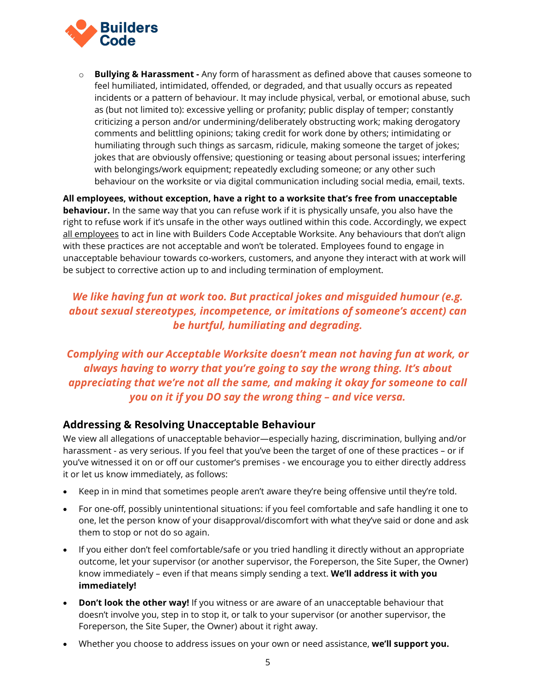

o **Bullying & Harassment -** Any form of harassment as defined above that causes someone to feel humiliated, intimidated, offended, or degraded, and that usually occurs as repeated incidents or a pattern of behaviour. It may include physical, verbal, or emotional abuse, such as (but not limited to): excessive yelling or profanity; public display of temper; constantly criticizing a person and/or undermining/deliberately obstructing work; making derogatory comments and belittling opinions; taking credit for work done by others; intimidating or humiliating through such things as sarcasm, ridicule, making someone the target of jokes; jokes that are obviously offensive; questioning or teasing about personal issues; interfering with belongings/work equipment; repeatedly excluding someone; or any other such behaviour on the worksite or via digital communication including social media, email, texts.

**All employees, without exception, have a right to a worksite that's free from unacceptable behaviour.** In the same way that you can refuse work if it is physically unsafe, you also have the right to refuse work if it's unsafe in the other ways outlined within this code. Accordingly, we expect all employees to act in line with Builders Code Acceptable Worksite. Any behaviours that don't align with these practices are not acceptable and won't be tolerated. Employees found to engage in unacceptable behaviour towards co-workers, customers, and anyone they interact with at work will be subject to corrective action up to and including termination of employment.

### *We like having fun at work too. But practical jokes and misguided humour (e.g. about sexual stereotypes, incompetence, or imitations of someone's accent) can be hurtful, humiliating and degrading.*

*Complying with our Acceptable Worksite doesn't mean not having fun at work, or always having to worry that you're going to say the wrong thing. It's about appreciating that we're not all the same, and making it okay for someone to call you on it if you DO say the wrong thing – and vice versa.*

#### **Addressing & Resolving Unacceptable Behaviour**

We view all allegations of unacceptable behavior—especially hazing, discrimination, bullying and/or harassment - as very serious. If you feel that you've been the target of one of these practices – or if you've witnessed it on or off our customer's premises - we encourage you to either directly address it or let us know immediately, as follows:

- Keep in in mind that sometimes people aren't aware they're being offensive until they're told.
- For one-off, possibly unintentional situations: if you feel comfortable and safe handling it one to one, let the person know of your disapproval/discomfort with what they've said or done and ask them to stop or not do so again.
- If you either don't feel comfortable/safe or you tried handling it directly without an appropriate outcome, let your supervisor (or another supervisor, the Foreperson, the Site Super, the Owner) know immediately – even if that means simply sending a text. **We'll address it with you immediately!**
- **Don't look the other way!** If you witness or are aware of an unacceptable behaviour that doesn't involve you, step in to stop it, or talk to your supervisor (or another supervisor, the Foreperson, the Site Super, the Owner) about it right away.
- Whether you choose to address issues on your own or need assistance, **we'll support you.**